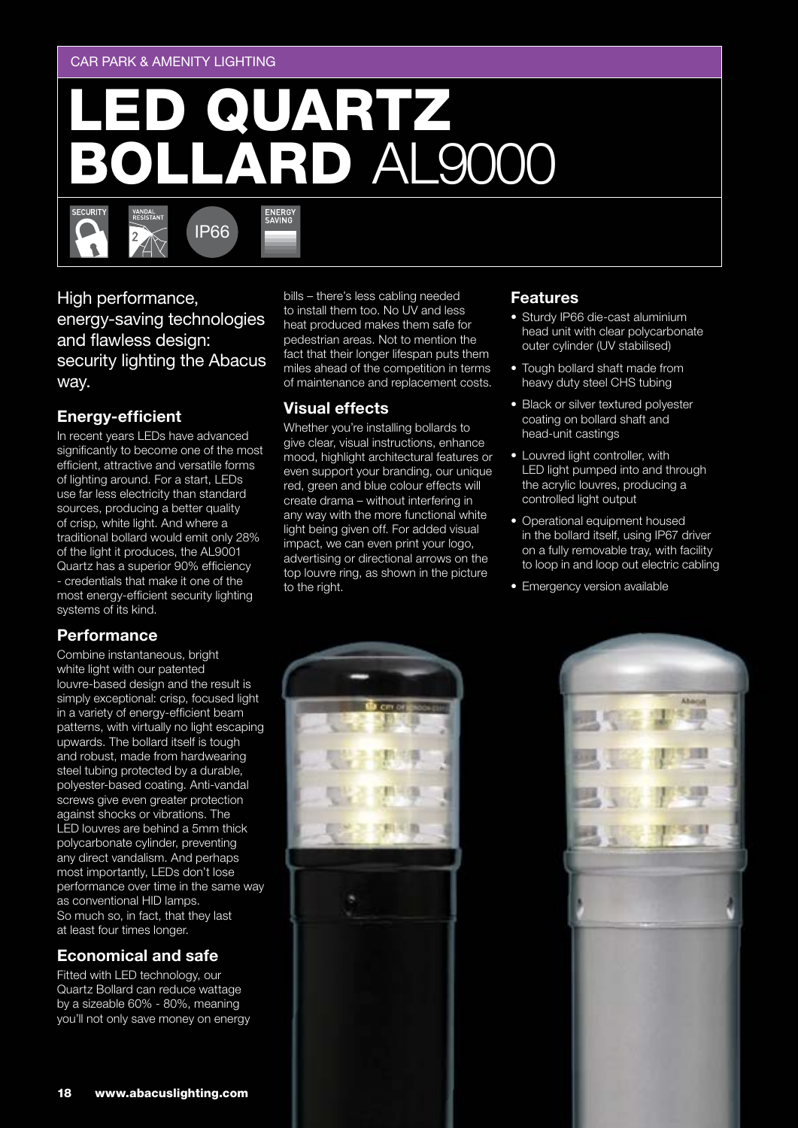#### CAR PARK & AMENITY LIGHTING

# **QUARTZ<br>LARD AL9000**

ENERGY<br>SAVING

High performance, energy-saving technologies and flawless design: security lighting the Abacus way.

IP66

## **Energy-efficient**

**ECURITY** 

In recent years LEDs have advanced significantly to become one of the most efficient, attractive and versatile forms of lighting around. For a start, LEDs use far less electricity than standard sources, producing a better quality of crisp, white light. And where a traditional bollard would emit only 28% of the light it produces, the AL9001 Quartz has a superior 90% efficiency - credentials that make it one of the most energy-efficient security lighting systems of its kind.

#### **Performance**

Combine instantaneous, bright white light with our patented louvre-based design and the result is simply exceptional: crisp, focused light in a variety of energy-efficient beam patterns, with virtually no light escaping upwards. The bollard itself is tough and robust, made from hardwearing steel tubing protected by a durable, polyester-based coating. Anti-vandal screws give even greater protection against shocks or vibrations. The LED louvres are behind a 5mm thick polycarbonate cylinder, preventing any direct vandalism. And perhaps most importantly, LEDs don't lose performance over time in the same way as conventional HID lamps. So much so, in fact, that they last at least four times longer.

## **Economical and safe**

Fitted with LED technology, our Quartz Bollard can reduce wattage by a sizeable 60% - 80%, meaning you'll not only save money on energy bills – there's less cabling needed to install them too. No UV and less heat produced makes them safe for pedestrian areas. Not to mention the fact that their longer lifespan puts them miles ahead of the competition in terms of maintenance and replacement costs.

## **Visual effects**

Whether you're installing bollards to give clear, visual instructions, enhance mood, highlight architectural features or even support your branding, our unique red, green and blue colour effects will create drama – without interfering in any way with the more functional white light being given off. For added visual impact, we can even print your logo, advertising or directional arrows on the top louvre ring, as shown in the picture to the right.

#### **Features**

- Sturdy IP66 die-cast aluminium head unit with clear polycarbonate outer cylinder (UV stabilised)
- Tough bollard shaft made from heavy duty steel CHS tubing
- Black or silver textured polyester coating on bollard shaft and head-unit castings
- Louvred light controller, with LED light pumped into and through the acrylic louvres, producing a controlled light output
- Operational equipment housed in the bollard itself, using IP67 driver on a fully removable tray, with facility to loop in and loop out electric cabling
- Emergency version available